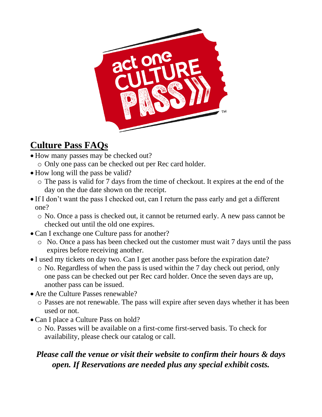

## **Culture Pass FAQs**

- How many passes may be checked out?
	- o Only one pass can be checked out per Rec card holder.
- How long will the pass be valid?
	- o The pass is valid for 7 days from the time of checkout. It expires at the end of the day on the due date shown on the receipt.
- If I don't want the pass I checked out, can I return the pass early and get a different one?
	- o No. Once a pass is checked out, it cannot be returned early. A new pass cannot be checked out until the old one expires.
- Can I exchange one Culture pass for another?
	- o No. Once a pass has been checked out the customer must wait 7 days until the pass expires before receiving another.
- I used my tickets on day two. Can I get another pass before the expiration date?
	- o No. Regardless of when the pass is used within the 7 day check out period, only one pass can be checked out per Rec card holder. Once the seven days are up, another pass can be issued.
- Are the Culture Passes renewable?
	- o Passes are not renewable. The pass will expire after seven days whether it has been used or not.
- Can I place a Culture Pass on hold?
	- o No. Passes will be available on a first-come first-served basis. To check for availability, please check our catalog or call.

### *Please call the venue or visit their website to confirm their hours & days open. If Reservations are needed plus any special exhibit costs.*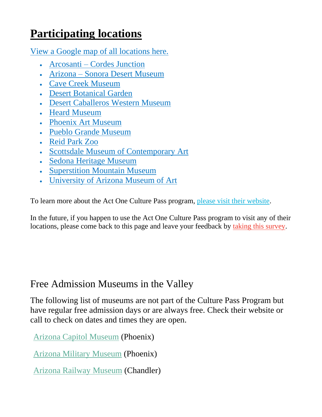# **Participating locations**

View a Google map of all [locations](https://www.google.com/maps/d/u/0/viewer?mid=1VC8WqpcH3Gd1txEVvBzLrLFlmOy2Ct44&ll=33.77161497304537%2C-111.20406281960825&z=9) here.

- [Arcosanti](https://www.arcosanti.org/) Cordes Junction
- Arizona Sonora Desert [Museum](https://www.desertmuseum.org/)
- Cave Creek [Museum](https://cavecreekmuseum.org/)
- Desert [Botanical](https://dbg.org/) Garden
- [Desert Caballeros Western Museum](https://westernmuseum.org/)
- Heard [Museum](https://heard.org/)
- Phoenix Art [Museum](https://phxart.org/)
- Pueblo Grande [Museum](https://www.phoenix.gov/parks/arts-culture-history/pueblo-grande)
- [Reid](https://reidparkzoo.org/) Park Zoo
- Scottsdale Museum of [Contemporary](https://smoca.org/) Art
- Sedona Heritage [Museum](https://sedonamuseum.org/)
- [Superstition](https://superstitionmountainmuseum.org/) Mountain Museum
- [University](https://artmuseum.arizona.edu/) of Arizona Museum of Art

To learn more about the Act One Culture Pass program, please visit their [website.](https://act1az.org/culture-pass/)

In the future, if you happen to use the Act One Culture Pass program to visit any of their locations, please come back to this page and leave your feedback by taking this [survey.](https://www.surveymonkey.com/r/culturepass)

## Free Admission Museums in the Valley

The following list of museums are not part of the Culture Pass Program but have regular free admission days or are always free. Check their website or call to check on dates and times they are open.

[Arizona Capitol Museum](https://azlibrary.gov/azcm) (Phoenix)

[Arizona Military Museum](https://dema.az.gov/army-national-guard/papago-park/arizona-military-museum) (Phoenix)

[Arizona Railway Museum](http://www.azrymuseum.org/) (Chandler)